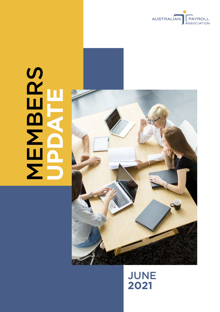

# **MBERS UPDATE**



# **JUNE 2021**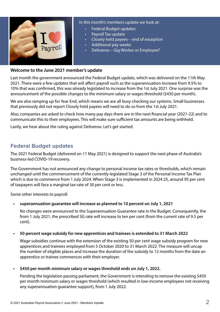

#### In this month's members update we look at:

- **Federal Budget updates**
- Payroll Tax update
- Closely held payees end of exception
- Additional pay weeks
- Deliveroo Gig Worker or Employee?

#### **Welcome to the June 2021 member's update**

Last month the government announced the Federal Budget update, which was delivered on the 11th May 2021. There were a few updates that will affect payroll such as the superannuation increase from 9.5% to 10% that was confirmed, this was already legislated to increase from the 1st July 2021. One surprise was the announcement of the possible changes to the minimum salary or wages threshold (\$450 per month).

We are also ramping up for Year End, which means we are all busy checking our systems. Small businesses that previously did not report Closely held payees will need to do so from the 1st July 2021.

Also, companies are asked to check how many pay days there are in the next financial year (2021-22) and to communicate this to their employees. This will make sure sufficient tax amounts are being withheld.

Lastly, we hear about the ruling against Deliveroo. Let's get started.

# Federal Budget updates

The 2021 Federal Budget (delivered on 11 May 2021) is designed to support the next phase of Australia's business-led COVID-19 recovery.

The Government has not announced any change to personal income tax rates or thresholds, which remain unchanged until the commencement of the currently legislated Stage 3 of the Personal Income Tax Plan which is due to commence from 1 July 2024. When Stage 3 is implemented in 2024 25, around 95 per cent of taxpayers will face a marginal tax rate of 30 per cent or less.

Some other interests to payroll:

#### **• superannuation guarantee will increase as planned to 10 percent on July 1, 2021**

No changes were announced to the Superannuation Guarantee rate in the Budget. Consequently, the from 1 July 2021, the prescribed SG rate will increase to ten per cent (from the current rate of 9.5 per cent).

#### **• 50 percent wage subsidy for new apprentices and trainees is extended to 31 March 2022**

Wage subsidies continue with the extension of the existing 50 per cent wage subsidy program for new apprentices and trainees employed from 5 October 2020 to 31 March 2022. The measure will uncap the number of eligible places and increase the duration of the subsidy to 12 months from the date an apprentice or trainee commences with their employer.

#### **• \$450 per month minimum salary or wages threshold ends on July 1, 2022.**

Pending the legislation passing parliament, the Government is intending to remove the existing \$450 per month minimum salary or wages threshold (which resulted in low-income employees not receiving any superannuation guarantee support), from 1 July 2022.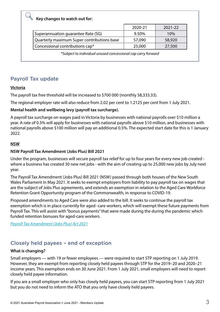### **Key changes to watch out for:**

| 2020-21 | 2021-22 |
|---------|---------|
| 9.50%   | 10%     |
| 57,090  | 58,920  |
| 25,000  | 27,500  |
|         |         |

*\*Subject to individual unused concessional cap carry forward*

# Payroll Tax update

#### **Victoria**

The payroll tax free threshold will be increased to \$700 000 (monthly 58,333.33).

The regional employer rate will also reduce from 2.02 per cent to 1.2125 per cent from 1 July 2021.

#### **Mental health and wellbeing levy (payroll tax surcharge).**

A payroll tax surcharge on wages paid in Victoria by businesses with national payrolls over \$10 million a year. A rate of 0.5% will apply for businesses with national payrolls above \$10 million, and businesses with national payrolls above \$100 million will pay an additional 0.5%. The expected start date for this is 1 January 2022.

#### **NSW**

#### **NSW Payroll Tax Amendment (Jobs Plus) Bill 2021**

Under the program, businesses will secure payroll tax relief for up to four years for every new job created where a business has created 30 new net jobs - with the aim of creating up to 25,000 new jobs by July next year.

The Payroll Tax Amendment (Jobs Plus) Bill 2021 (NSW) passed through both houses of the New South Wales Parliament in May 2021. It seeks to exempt employers from liability to pay payroll tax on wages that are the subject of Jobs Plus agreements, and extends an exemption in relation to the Aged Care Workforce Retention Grant Opportunity program of the Commonwealth, in response to COVID-19.

Proposed amendments to Aged Care were also added to the bill. It seeks to continue the payroll tax exemption which is in place currently for aged -care workers, which will exempt these future payments from Payroll Tax. This will assist with "bonus payments" that were made during the during the pandemic which funded retention bonuses for aged-care workers.

*[Payroll Tax Amendment \(Jobs Plus\) Act 2021](https://www.parliament.nsw.gov.au/bills/Pages/bill-details.aspx?pk=3850)*

# Closely held payees – end of exception

#### **What is changing?**

Small employers — with 19 or fewer employees — were required to start STP reporting on 1 July 2019. However, they are exempt from reporting closely held payees through STP for the 2019–20 and 2020–21 income years. This exemption ends on 30 June 2021. From 1 July 2021, small employers will need to report closely held payee information.

If you are a small employer who only has closely held payees, you can start STP reporting from 1 July 2021 but you do not need to inform the ATO that you only have closely held payees.